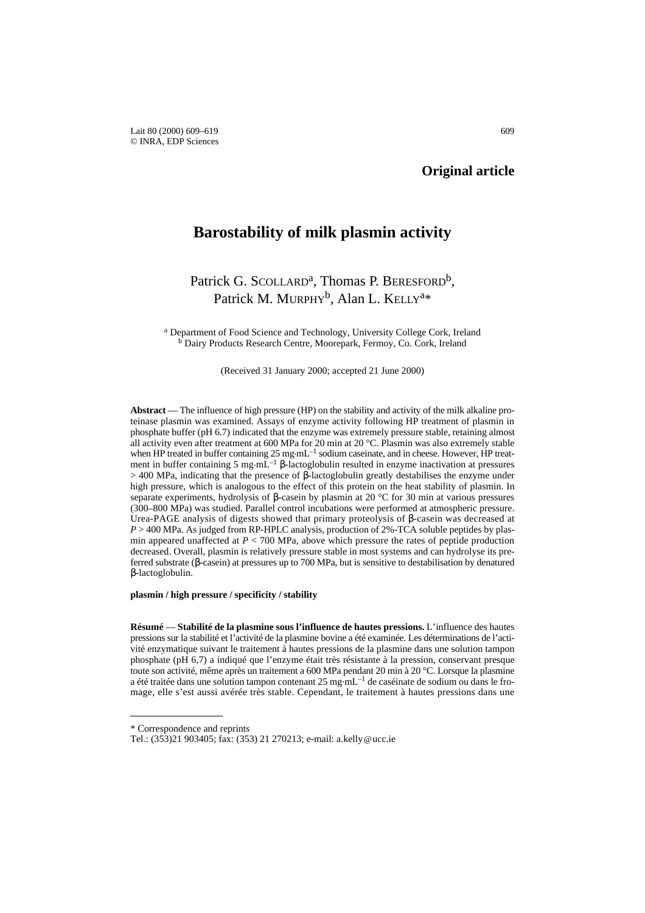# **Original article**

# **Barostability of milk plasmin activity**

# Patrick G. SCOLLARD<sup>a</sup>, Thomas P. BERESFORD<sup>b</sup>, Patrick M. MURPHY<sup>b</sup>, Alan L. KELLY<sup>a\*</sup>

<sup>a</sup> Department of Food Science and Technology, University College Cork, Ireland <sup>b</sup> Dairy Products Research Centre, Moorepark, Fermoy, Co. Cork, Ireland

(Received 31 January 2000; accepted 21 June 2000)

**Abstract** — The influence of high pressure (HP) on the stability and activity of the milk alkaline proteinase plasmin was examined. Assays of enzyme activity following HP treatment of plasmin in phosphate buffer (pH 6.7) indicated that the enzyme was extremely pressure stable, retaining almost all activity even after treatment at 600 MPa for 20 min at 20 °C. Plasmin was also extremely stable when HP treated in buffer containing  $25 \text{ mg} \cdot \text{mL}^{-1}$  sodium caseinate, and in cheese. However, HP treatment in buffer containing 5 mg·mL<sup>-1</sup> β-lactoglobulin resulted in enzyme inactivation at pressures > 400 MPa, indicating that the presence of β-lactoglobulin greatly destabilises the enzyme under high pressure, which is analogous to the effect of this protein on the heat stability of plasmin. In separate experiments, hydrolysis of β-casein by plasmin at 20 °C for 30 min at various pressures (300–800 MPa) was studied. Parallel control incubations were performed at atmospheric pressure. Urea-PAGE analysis of digests showed that primary proteolysis of  $\beta$ -casein was decreased at *P* > 400 MPa. As judged from RP-HPLC analysis, production of 2%-TCA soluble peptides by plasmin appeared unaffected at *P* < 700 MPa, above which pressure the rates of peptide production decreased. Overall, plasmin is relatively pressure stable in most systems and can hydrolyse its preferred substrate (β-casein) at pressures up to 700 MPa, but is sensitive to destabilisation by denatured β-lactoglobulin.

#### **plasmin / high pressure / specificity / stability**

**Résumé** — **Stabilité de la plasmine sous l'influence de hautes pressions.** L'influence des hautes pressions sur la stabilité et l'activité de la plasmine bovine a été examinée. Les déterminations de l'activité enzymatique suivant le traitement à hautes pressions de la plasmine dans une solution tampon phosphate (pH 6,7) a indiqué que l'enzyme était très résistante à la pression, conservant presque toute son activité, même après un traitement a 600 MPa pendant 20 min à 20 °C. Lorsque la plasmine a été traitée dans une solution tampon contenant 25 mg.mL–1 de caséinate de sodium ou dans le fromage, elle s'est aussi avérée très stable. Cependant, le traitement à hautes pressions dans une

<sup>\*</sup> Correspondence and reprints

Tel.: (353)21 903405; fax: (353) 21 270213; e-mail: a.kelly@ucc.ie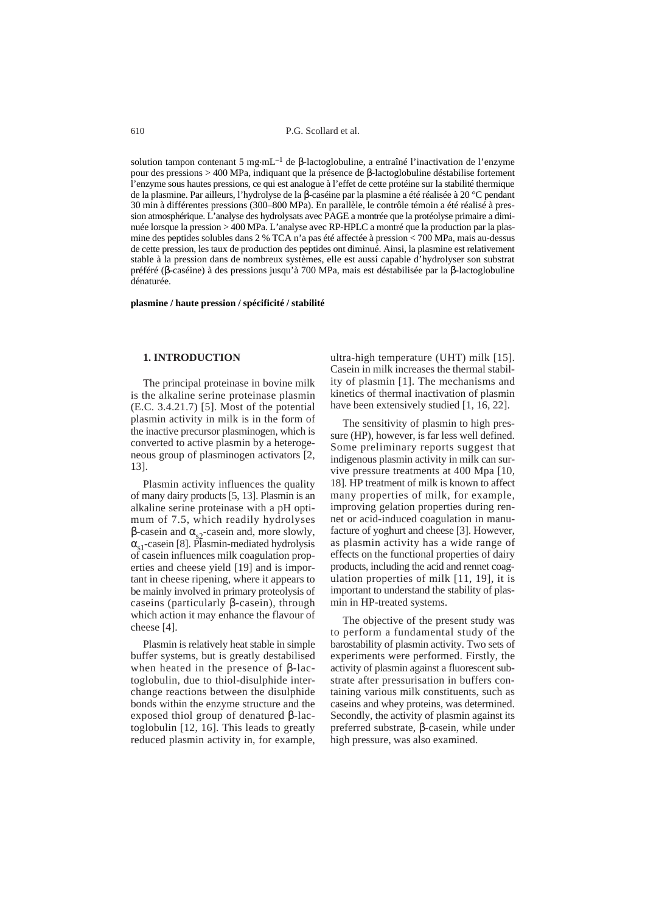solution tampon contenant 5 mg·mL<sup>-1</sup> de β-lactoglobuline, a entraîné l'inactivation de l'enzyme pour des pressions > 400 MPa, indiquant que la présence de β-lactoglobuline déstabilise fortement l'enzyme sous hautes pressions, ce qui est analogue à l'effet de cette protéine sur la stabilité thermique de la plasmine. Par ailleurs, l'hydrolyse de la β-caséine par la plasmine a été réalisée à 20 °C pendant 30 min à différentes pressions (300–800 MPa). En parallèle, le contrôle témoin a été réalisé à pression atmosphérique. L'analyse des hydrolysats avec PAGE a montrée que la protéolyse primaire a diminuée lorsque la pression > 400 MPa. L'analyse avec RP-HPLC a montré que la production par la plasmine des peptides solubles dans 2 % TCA n'a pas été affectée à pression < 700 MPa, mais au-dessus de cette pression, les taux de production des peptides ont diminué. Ainsi, la plasmine est relativement stable à la pression dans de nombreux systèmes, elle est aussi capable d'hydrolyser son substrat préféré (β-caséine) à des pressions jusqu'à 700 MPa, mais est déstabilisée par la β-lactoglobuline dénaturée.

#### **plasmine / haute pression / spécificité / stabilité**

#### **1. INTRODUCTION**

The principal proteinase in bovine milk is the alkaline serine proteinase plasmin (E.C. 3.4.21.7) [5]. Most of the potential plasmin activity in milk is in the form of the inactive precursor plasminogen, which is converted to active plasmin by a heterogeneous group of plasminogen activators [2, 13].

Plasmin activity influences the quality of many dairy products [5, 13]. Plasmin is an alkaline serine proteinase with a pH optimum of 7.5, which readily hydrolyses β-casein and  $α_{0}$ -casein and, more slowly,  $\alpha_{\rm s1}$ -casein [8]. Plasmin-mediated hydrolysis of casein influences milk coagulation properties and cheese yield [19] and is important in cheese ripening, where it appears to be mainly involved in primary proteolysis of caseins (particularly β-casein), through which action it may enhance the flavour of cheese [4].

Plasmin is relatively heat stable in simple buffer systems, but is greatly destabilised when heated in the presence of β-lactoglobulin, due to thiol-disulphide interchange reactions between the disulphide bonds within the enzyme structure and the exposed thiol group of denatured β-lactoglobulin [12, 16]. This leads to greatly reduced plasmin activity in, for example,

ultra-high temperature (UHT) milk [15]. Casein in milk increases the thermal stability of plasmin [1]. The mechanisms and kinetics of thermal inactivation of plasmin have been extensively studied [1, 16, 22].

The sensitivity of plasmin to high pressure (HP), however, is far less well defined. Some preliminary reports suggest that indigenous plasmin activity in milk can survive pressure treatments at 400 Mpa [10, 18]. HP treatment of milk is known to affect many properties of milk, for example, improving gelation properties during rennet or acid-induced coagulation in manufacture of yoghurt and cheese [3]. However, as plasmin activity has a wide range of effects on the functional properties of dairy products, including the acid and rennet coagulation properties of milk [11, 19], it is important to understand the stability of plasmin in HP-treated systems.

The objective of the present study was to perform a fundamental study of the barostability of plasmin activity. Two sets of experiments were performed. Firstly, the activity of plasmin against a fluorescent substrate after pressurisation in buffers containing various milk constituents, such as caseins and whey proteins, was determined. Secondly, the activity of plasmin against its preferred substrate, β-casein, while under high pressure, was also examined.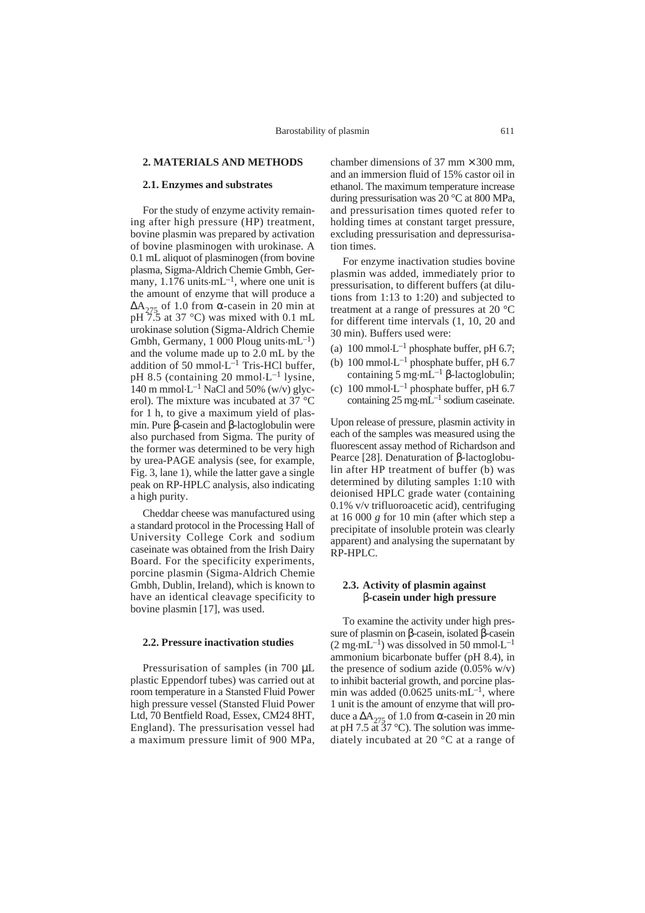# **2. MATERIALS AND METHODS**

#### **2.1. Enzymes and substrates**

For the study of enzyme activity remaining after high pressure (HP) treatment, bovine plasmin was prepared by activation of bovine plasminogen with urokinase. A 0.1 mL aliquot of plasminogen (from bovine plasma, Sigma-Aldrich Chemie Gmbh, Germany,  $1.176$  units $\cdot$ mL<sup>-1</sup>, where one unit is the amount of enzyme that will produce a  $\Delta A_{275}$  of 1.0 from  $\alpha$ -casein in 20 min at  $pH 7.5$  at 37 °C) was mixed with 0.1 mL urokinase solution (Sigma-Aldrich Chemie Gmbh, Germany,  $1\overline{000}$  Ploug units $\cdot$ mL<sup>-1</sup>) and the volume made up to 2.0 mL by the addition of 50 mmol $\cdot L^{-1}$  Tris-HCl buffer, pH 8.5 (containing 20 mmol $\cdot L^{-1}$  lysine, 140 m mmol $L^{-1}$  NaCl and 50% (w/v) glycerol). The mixture was incubated at 37 °C for 1 h, to give a maximum yield of plasmin. Pure β-casein and β-lactoglobulin were also purchased from Sigma. The purity of the former was determined to be very high by urea-PAGE analysis (see, for example, Fig. 3, lane 1), while the latter gave a single peak on RP-HPLC analysis, also indicating a high purity.

Cheddar cheese was manufactured using a standard protocol in the Processing Hall of University College Cork and sodium caseinate was obtained from the Irish Dairy Board. For the specificity experiments, porcine plasmin (Sigma-Aldrich Chemie Gmbh, Dublin, Ireland), which is known to have an identical cleavage specificity to bovine plasmin [17], was used.

#### **2.2. Pressure inactivation studies**

Pressurisation of samples (in 700 µL plastic Eppendorf tubes) was carried out at room temperature in a Stansted Fluid Power high pressure vessel (Stansted Fluid Power Ltd, 70 Bentfield Road, Essex, CM24 8HT, England). The pressurisation vessel had a maximum pressure limit of 900 MPa,

chamber dimensions of 37 mm  $\times$  300 mm. and an immersion fluid of 15% castor oil in ethanol. The maximum temperature increase during pressurisation was 20 °C at 800 MPa, and pressurisation times quoted refer to holding times at constant target pressure, excluding pressurisation and depressurisation times.

For enzyme inactivation studies bovine plasmin was added, immediately prior to pressurisation, to different buffers (at dilutions from 1:13 to 1:20) and subjected to treatment at a range of pressures at 20 °C for different time intervals (1, 10, 20 and 30 min). Buffers used were:

- (a)  $100$  mmol $L^{-1}$  phosphate buffer, pH 6.7;
- (b)  $100 \text{ mmol} \cdot L^{-1}$  phosphate buffer, pH 6.7 containing 5 mg.mL–1 β-lactoglobulin;
- (c)  $100 \text{ mmol} \cdot L^{-1}$  phosphate buffer, pH 6.7 containing  $25 \text{ mg} \cdot \text{mL}^{-1}$  sodium caseinate.

Upon release of pressure, plasmin activity in each of the samples was measured using the fluorescent assay method of Richardson and Pearce [28]. Denaturation of β-lactoglobulin after HP treatment of buffer (b) was determined by diluting samples 1:10 with deionised HPLC grade water (containing 0.1% v/v trifluoroacetic acid), centrifuging at 16 000 *g* for 10 min (after which step a precipitate of insoluble protein was clearly apparent) and analysing the supernatant by RP-HPLC.

# **2.3. Activity of plasmin against** β**-casein under high pressure**

To examine the activity under high pressure of plasmin on β-casein, isolated β-casein  $(2 \text{ mg} \cdot \text{mL}^{-1})$  was dissolved in 50 mmol $\cdot$ L<sup>-1</sup> ammonium bicarbonate buffer (pH 8.4), in the presence of sodium azide  $(0.05\% \text{ w/v})$ to inhibit bacterial growth, and porcine plasmin was added (0.0625 units $\cdot \text{mL}^{-1}$ , where 1 unit is the amount of enzyme that will produce a  $\Delta A_{275}$  of 1.0 from  $\alpha$ -casein in 20 min at pH 7.5  $\tilde{a}$  ( $\tilde{3}$ 7 °C). The solution was immediately incubated at 20 °C at a range of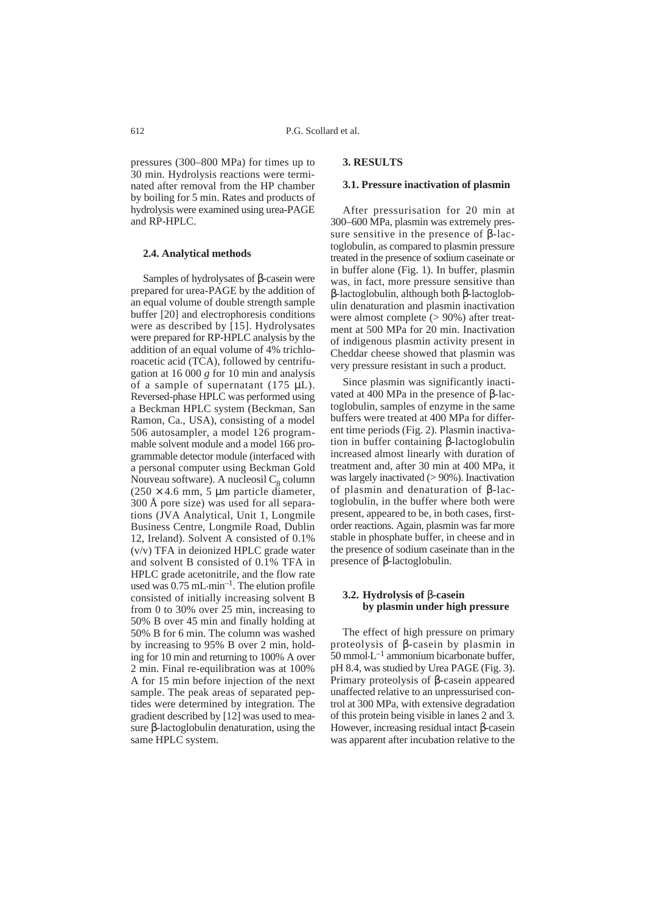pressures (300–800 MPa) for times up to 30 min. Hydrolysis reactions were terminated after removal from the HP chamber by boiling for 5 min. Rates and products of hydrolysis were examined using urea-PAGE and RP-HPLC.

### **2.4. Analytical methods**

Samples of hydrolysates of β-casein were prepared for urea-PAGE by the addition of an equal volume of double strength sample buffer [20] and electrophoresis conditions were as described by [15]. Hydrolysates were prepared for RP-HPLC analysis by the addition of an equal volume of 4% trichloroacetic acid (TCA), followed by centrifugation at 16 000 *g* for 10 min and analysis of a sample of supernatant  $(175 \mu L)$ . Reversed-phase HPLC was performed using a Beckman HPLC system (Beckman, San Ramon, Ca., USA), consisting of a model 506 autosampler, a model 126 programmable solvent module and a model 166 programmable detector module (interfaced with a personal computer using Beckman Gold Nouveau software). A nucleosil  $C_8$  column  $(250 \times 4.6 \text{ mm}, 5 \mu \text{m} \text{ particle diameter},$ 300 Å pore size) was used for all separations (JVA Analytical, Unit 1, Longmile Business Centre, Longmile Road, Dublin 12, Ireland). Solvent A consisted of 0.1% (v/v) TFA in deionized HPLC grade water and solvent B consisted of 0.1% TFA in HPLC grade acetonitrile, and the flow rate used was  $0.75$  mL $\cdot$ min<sup>-1</sup>. The elution profile consisted of initially increasing solvent B from 0 to 30% over 25 min, increasing to 50% B over 45 min and finally holding at 50% B for 6 min. The column was washed by increasing to 95% B over 2 min, holding for 10 min and returning to 100% A over 2 min. Final re-equilibration was at 100% A for 15 min before injection of the next sample. The peak areas of separated peptides were determined by integration. The gradient described by [12] was used to measure β-lactoglobulin denaturation, using the same HPLC system.

# **3. RESULTS**

#### **3.1. Pressure inactivation of plasmin**

After pressurisation for 20 min at 300–600 MPa, plasmin was extremely pressure sensitive in the presence of β-lactoglobulin, as compared to plasmin pressure treated in the presence of sodium caseinate or in buffer alone (Fig. 1). In buffer, plasmin was, in fact, more pressure sensitive than β-lactoglobulin, although both β-lactoglobulin denaturation and plasmin inactivation were almost complete (> 90%) after treatment at 500 MPa for 20 min. Inactivation of indigenous plasmin activity present in Cheddar cheese showed that plasmin was very pressure resistant in such a product*.*

Since plasmin was significantly inactivated at 400 MPa in the presence of β-lactoglobulin, samples of enzyme in the same buffers were treated at 400 MPa for different time periods (Fig. 2). Plasmin inactivation in buffer containing β-lactoglobulin increased almost linearly with duration of treatment and, after 30 min at 400 MPa, it was largely inactivated (> 90%). Inactivation of plasmin and denaturation of β-lactoglobulin, in the buffer where both were present, appeared to be, in both cases, firstorder reactions. Again, plasmin was far more stable in phosphate buffer, in cheese and in the presence of sodium caseinate than in the presence of β-lactoglobulin.

# **3.2. Hydrolysis of** β**-casein by plasmin under high pressure**

The effect of high pressure on primary proteolysis of β-casein by plasmin in  $50$  mmol $L^{-1}$  ammonium bicarbonate buffer, pH 8.4, was studied by Urea PAGE (Fig. 3). Primary proteolysis of β-casein appeared unaffected relative to an unpressurised control at 300 MPa, with extensive degradation of this protein being visible in lanes 2 and 3. However, increasing residual intact β-casein was apparent after incubation relative to the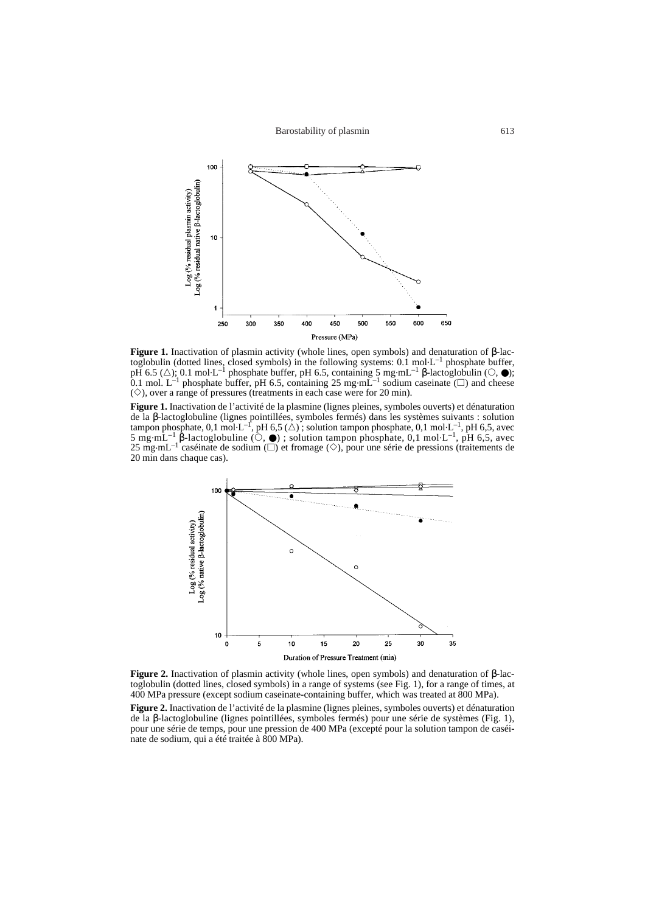Barostability of plasmin 613



**Figure 1.** Inactivation of plasmin activity (whole lines, open symbols) and denaturation of β-lactoglobulin (dotted lines, closed symbols) in the following systems: 0.1 mol.L–1 phosphate buffer,  $p\overline{H}$  6.5 ( $\triangle$ ); 0.1 mol·L<sup>-1</sup> phosphate buffer, pH 6.5, containing 5 mg·mL<sup>-1</sup> β-lactoglobulin ( $\odot$ ,  $\bullet$ ); 0.1 mol. L<sup>-1</sup> phosphate buffer, pH 6.5, containing 25 mg·mL<sup>-1</sup> sodium caseinate ( $\square$ ) and cheese  $(\diamond)$ , over a range of pressures (treatments in each case were for 20 min).

**Figure 1.** Inactivation de l'activité de la plasmine (lignes pleines, symboles ouverts) et dénaturation de la β-lactoglobuline (lignes pointillées, symboles fermés) dans les systèmes suivants : solution tampon phosphate, 0,1 mol·L<sup>-1</sup>, pH 6,5, avec 5 mg·mL<sup>-1</sup> β-lactoglobuline ( $\ddot{\circ}$ ,  $\bullet$ ); solution tampon phosphate, 0,1 mol·L<sup>-1</sup>, pH 6,5, avec 25 mg·mL<sup>-1</sup> caséinate de sodium ( $\Box$ ) et fromage ( $\diamond$ ), pour une série de pressions (traitements de 20 min dans chaque cas).



**Figure 2.** Inactivation of plasmin activity (whole lines, open symbols) and denaturation of β-lactoglobulin (dotted lines, closed symbols) in a range of systems (see Fig. 1), for a range of times, at 400 MPa pressure (except sodium caseinate-containing buffer, which was treated at 800 MPa).

Figure 2. Inactivation de l'activité de la plasmine (lignes pleines, symboles ouverts) et dénaturation de la β-lactoglobuline (lignes pointillées, symboles fermés) pour une série de systèmes (Fig. 1), pour une série de temps, pour une pression de 400 MPa (excepté pour la solution tampon de caséinate de sodium, qui a été traitée à 800 MPa).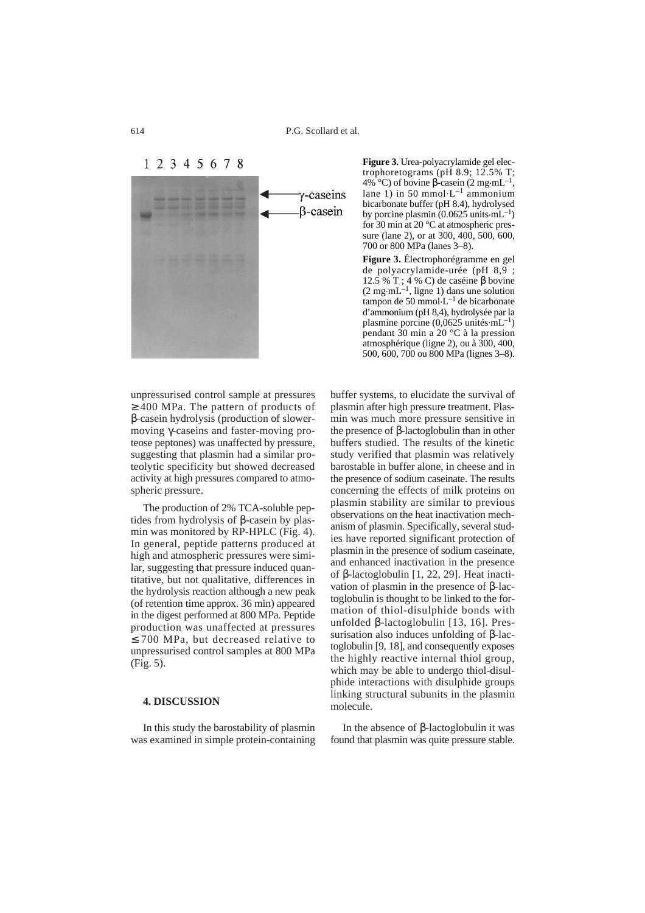1 2 3 4 5 6 7 8



unpressurised control sample at pressures ≥ 400 MPa. The pattern of products of β-casein hydrolysis (production of slowermoving γ-caseins and faster-moving proteose peptones) was unaffected by pressure, suggesting that plasmin had a similar proteolytic specificity but showed decreased activity at high pressures compared to atmospheric pressure.

The production of 2% TCA-soluble peptides from hydrolysis of β-casein by plasmin was monitored by RP-HPLC (Fig. 4). In general, peptide patterns produced at high and atmospheric pressures were similar, suggesting that pressure induced quantitative, but not qualitative, differences in the hydrolysis reaction although a new peak (of retention time approx. 36 min) appeared in the digest performed at 800 MPa*.* Peptide production was unaffected at pressures ≤ 700 MPa, but decreased relative to unpressurised control samples at 800 MPa (Fig. 5).

## **4. DISCUSSION**

In this study the barostability of plasmin was examined in simple protein-containing **Figure 3.** Urea-polyacrylamide gel electrophoretograms (pH 8.9; 12.5% T; 4% °C) of bovine β-casein (2 mg·mL<sup>-1</sup>, lane 1) in 50 mmol·L<sup>-1</sup> ammonium bicarbonate buffer (pH 8.4), hydrolysed by porcine plasmin  $(0.0625 \text{ units} \cdot \text{mL}^{-1})$ for 30 min at 20 °C at atmospheric pressure (lane 2), or at 300, 400, 500, 600, 700 or 800 MPa (lanes 3–8).

**Figure 3.** Électrophorégramme en gel de polyacrylamide-urée (pH 8,9 ; 12.5 % T ; 4 % C) de caséine β bovine<br>(2 mg·mL<sup>-1</sup>, ligne 1) dans une solution tampon de 50 mmol $L^{-1}$  de bicarbonate d'ammonium (pH 8,4), hydrolysée par la plasmine porcine  $(0.0625 \text{ units} \cdot \text{mL}^{-1})$ pendant 30 min a 20 °C à la pression atmosphérique (ligne 2), ou à 300, 400, 500, 600, 700 ou 800 MPa (lignes 3–8).

buffer systems, to elucidate the survival of plasmin after high pressure treatment. Plasmin was much more pressure sensitive in the presence of β-lactoglobulin than in other buffers studied. The results of the kinetic study verified that plasmin was relatively barostable in buffer alone, in cheese and in the presence of sodium caseinate. The results concerning the effects of milk proteins on plasmin stability are similar to previous observations on the heat inactivation mechanism of plasmin. Specifically, several studies have reported significant protection of plasmin in the presence of sodium caseinate, and enhanced inactivation in the presence of β-lactoglobulin [1, 22, 29]. Heat inactivation of plasmin in the presence of β-lactoglobulin is thought to be linked to the formation of thiol-disulphide bonds with unfolded β-lactoglobulin [13, 16]. Pressurisation also induces unfolding of β-lactoglobulin [9, 18], and consequently exposes the highly reactive internal thiol group, which may be able to undergo thiol-disulphide interactions with disulphide groups linking structural subunits in the plasmin molecule.

In the absence of β-lactoglobulin it was found that plasmin was quite pressure stable.

614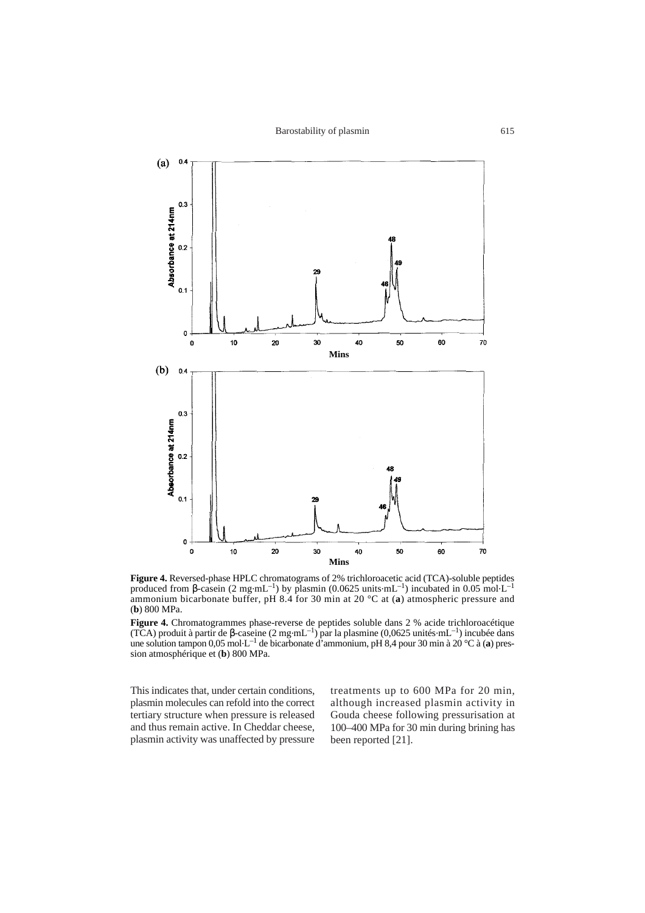

**Figure 4.** Reversed-phase HPLC chromatograms of 2% trichloroacetic acid (TCA)-soluble peptides produced from β-casein (2 mg·mL<sup>-1</sup>) by plasmin (0.0625 units·mL<sup>-1</sup>) incubated in 0.05 mol·L<sup>-1</sup> ammonium bicarbonate buffer, pH 8.4 for 30 min at 20 °C at (**a**) atmospheric pressure and (**b**) 800 MPa.

**Figure 4.** Chromatogrammes phase-reverse de peptides soluble dans 2 % acide trichloroacétique (TCA) produit à partir de β-caseine (2 mg·mL<sup>-1)</sup> par la plasmine (0,0625 unités·mL<sup>-1</sup>) incubée dans une solution tampon 0,05 mol.L–1 de bicarbonate d'ammonium, pH 8,4 pour 30 min à 20 °C à (**a**) pression atmosphérique et (**b**) 800 MPa.

This indicates that, under certain conditions, plasmin molecules can refold into the correct tertiary structure when pressure is released and thus remain active. In Cheddar cheese, plasmin activity was unaffected by pressure treatments up to 600 MPa for 20 min, although increased plasmin activity in Gouda cheese following pressurisation at 100–400 MPa for 30 min during brining has been reported [21].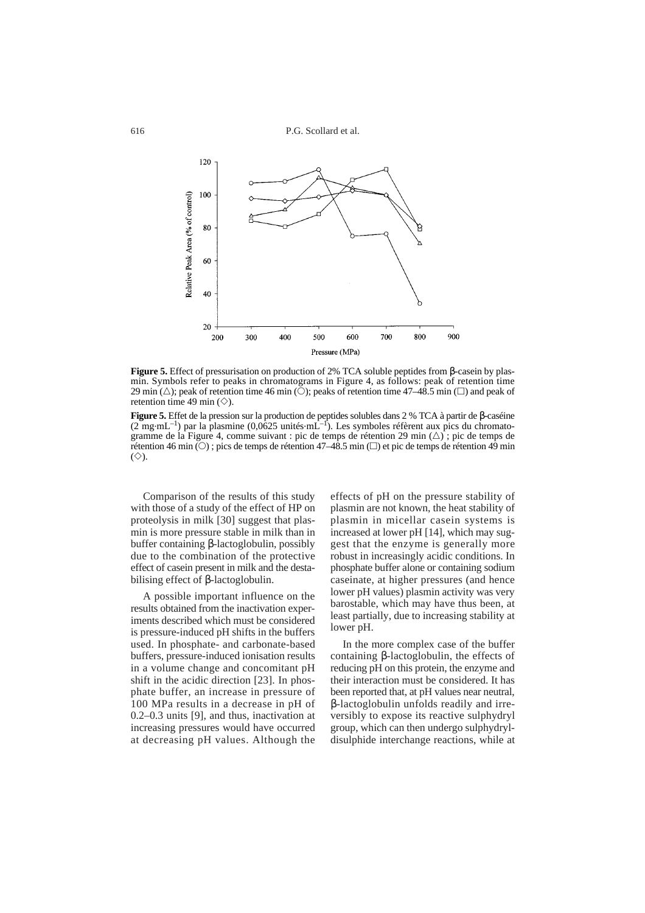P.G. Scollard et al.



**Figure 5.** Effect of pressurisation on production of 2% TCA soluble peptides from β-casein by plasmin. Symbols refer to peaks in chromatograms in Figure 4, as follows: peak of retention time 29 min  $(\triangle)$ ; peak of retention time 46 min ( $\bigcirc$ ); peaks of retention time 47–48.5 min ( $\square$ ) and peak of retention time 49 min  $(\diamondsuit)$ .

**Figure 5.** Effet de la pression sur la production de peptides solubles dans 2 % TCA à partir de β-caséine (2 mg·mL<sup>-1</sup>) par la plasmine (0,0625 unités·mL<sup>-1</sup>). Les symboles réfèrent aux pics du chromatogramme de la Figure 4, comme suivant : pic de temps de rétention 29 min  $(\triangle)$ ; pic de temps de rétention 46 min  $(\circ)$ ; pics de temps de rétention 47–48.5 min  $(\circ)$  et pic de temps de rétention 49 min  $(\diamondsuit)$ .

Comparison of the results of this study with those of a study of the effect of HP on proteolysis in milk [30] suggest that plasmin is more pressure stable in milk than in buffer containing β-lactoglobulin, possibly due to the combination of the protective effect of casein present in milk and the destabilising effect of β-lactoglobulin.

A possible important influence on the results obtained from the inactivation experiments described which must be considered is pressure-induced pH shifts in the buffers used. In phosphate- and carbonate-based buffers, pressure-induced ionisation results in a volume change and concomitant pH shift in the acidic direction [23]. In phosphate buffer, an increase in pressure of 100 MPa results in a decrease in pH of 0.2–0.3 units [9], and thus, inactivation at increasing pressures would have occurred at decreasing pH values. Although the

effects of pH on the pressure stability of plasmin are not known, the heat stability of plasmin in micellar casein systems is increased at lower pH [14], which may suggest that the enzyme is generally more robust in increasingly acidic conditions. In phosphate buffer alone or containing sodium caseinate, at higher pressures (and hence lower pH values) plasmin activity was very barostable, which may have thus been, at least partially, due to increasing stability at lower pH.

In the more complex case of the buffer containing β-lactoglobulin, the effects of reducing pH on this protein, the enzyme and their interaction must be considered. It has been reported that, at pH values near neutral, β-lactoglobulin unfolds readily and irreversibly to expose its reactive sulphydryl group, which can then undergo sulphydryldisulphide interchange reactions, while at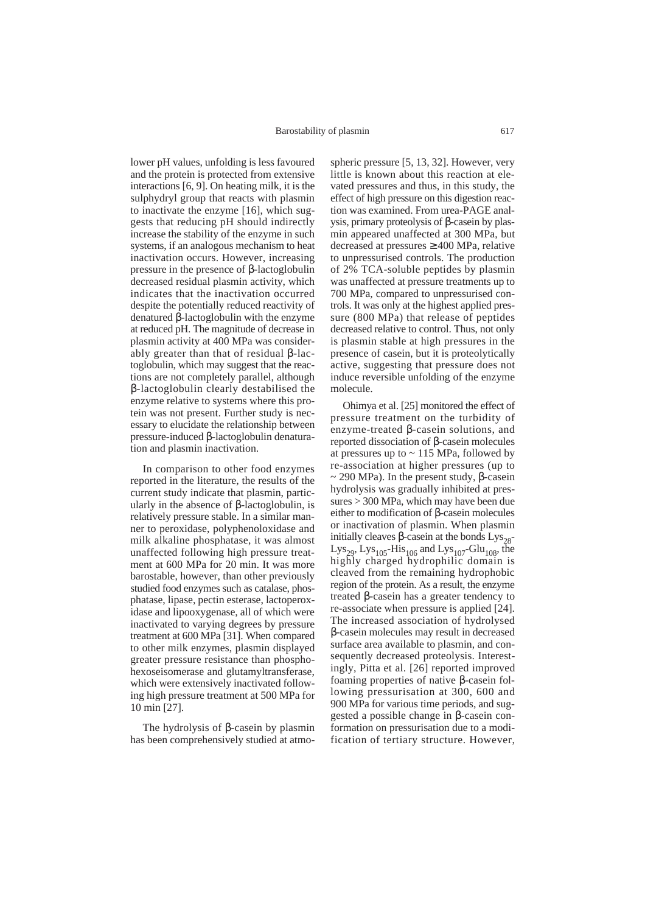lower pH values, unfolding is less favoured and the protein is protected from extensive interactions [6, 9]. On heating milk, it is the sulphydryl group that reacts with plasmin to inactivate the enzyme [16], which suggests that reducing pH should indirectly increase the stability of the enzyme in such systems, if an analogous mechanism to heat inactivation occurs. However, increasing pressure in the presence of β-lactoglobulin decreased residual plasmin activity, which indicates that the inactivation occurred despite the potentially reduced reactivity of denatured β-lactoglobulin with the enzyme at reduced pH. The magnitude of decrease in plasmin activity at 400 MPa was considerably greater than that of residual β-lactoglobulin, which may suggest that the reactions are not completely parallel, although β-lactoglobulin clearly destabilised the enzyme relative to systems where this protein was not present. Further study is necessary to elucidate the relationship between pressure-induced β-lactoglobulin denaturation and plasmin inactivation.

In comparison to other food enzymes reported in the literature, the results of the current study indicate that plasmin, particularly in the absence of β-lactoglobulin, is relatively pressure stable. In a similar manner to peroxidase, polyphenoloxidase and milk alkaline phosphatase, it was almost unaffected following high pressure treatment at 600 MPa for 20 min. It was more barostable, however, than other previously studied food enzymes such as catalase, phosphatase, lipase, pectin esterase, lactoperoxidase and lipooxygenase, all of which were inactivated to varying degrees by pressure treatment at 600 MPa [31]. When compared to other milk enzymes, plasmin displayed greater pressure resistance than phosphohexoseisomerase and glutamyltransferase, which were extensively inactivated following high pressure treatment at 500 MPa for 10 min [27].

The hydrolysis of β-casein by plasmin has been comprehensively studied at atmo-

spheric pressure [5, 13, 32]. However, very little is known about this reaction at elevated pressures and thus, in this study, the effect of high pressure on this digestion reaction was examined. From urea-PAGE analysis, primary proteolysis of β-casein by plasmin appeared unaffected at 300 MPa, but decreased at pressures ≥ 400 MPa, relative to unpressurised controls. The production of 2% TCA-soluble peptides by plasmin was unaffected at pressure treatments up to 700 MPa, compared to unpressurised controls. It was only at the highest applied pressure (800 MPa) that release of peptides decreased relative to control. Thus, not only is plasmin stable at high pressures in the presence of casein, but it is proteolytically active, suggesting that pressure does not induce reversible unfolding of the enzyme molecule.

Ohimya et al. [25] monitored the effect of pressure treatment on the turbidity of enzyme-treated β-casein solutions, and reported dissociation of β-casein molecules at pressures up to  $\sim$  115 MPa, followed by re-association at higher pressures (up to  $\sim$  290 MPa). In the present study, β-casein hydrolysis was gradually inhibited at pressures > 300 MPa, which may have been due either to modification of β-casein molecules or inactivation of plasmin. When plasmin initially cleaves β-casein at the bonds  $Lys_{28}$ -Lys<sub>29</sub>, Lys<sub>105</sub>-His<sub>106</sub> and Lys<sub>107</sub>-Glu<sub>108</sub>, the highly charged hydrophilic domain is cleaved from the remaining hydrophobic region of the protein. As a result, the enzyme treated β-casein has a greater tendency to re-associate when pressure is applied [24]. The increased association of hydrolysed β-casein molecules may result in decreased surface area available to plasmin, and consequently decreased proteolysis. Interestingly, Pitta et al. [26] reported improved foaming properties of native β-casein following pressurisation at 300, 600 and 900 MPa for various time periods, and suggested a possible change in β-casein conformation on pressurisation due to a modification of tertiary structure. However,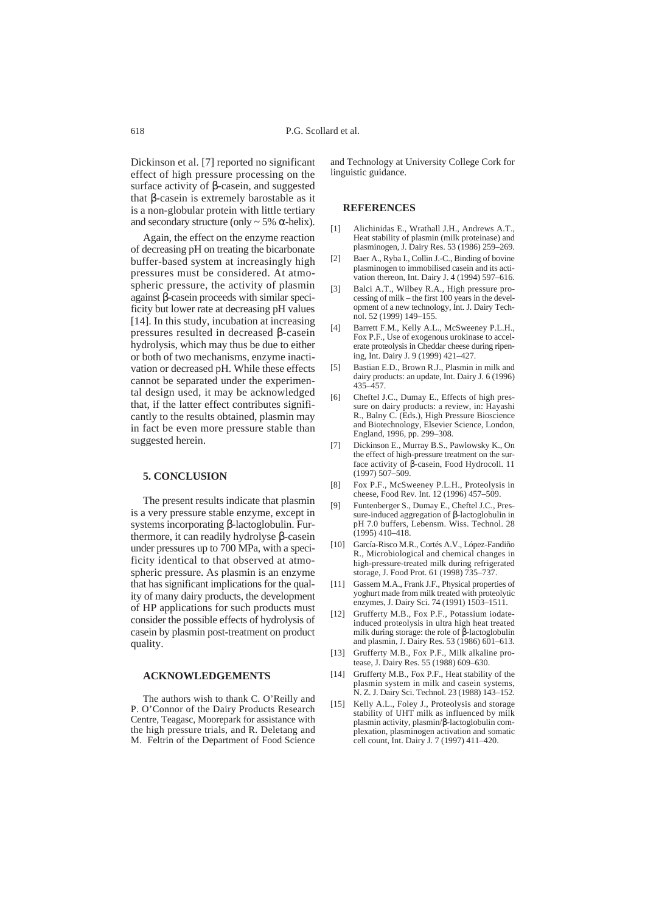Dickinson et al. [7] reported no significant effect of high pressure processing on the surface activity of β-casein, and suggested that β-casein is extremely barostable as it is a non-globular protein with little tertiary and secondary structure (only  $\sim$  5%  $\alpha$ -helix).

Again, the effect on the enzyme reaction of decreasing pH on treating the bicarbonate buffer-based system at increasingly high pressures must be considered. At atmospheric pressure, the activity of plasmin against β-casein proceeds with similar specificity but lower rate at decreasing pH values [14]. In this study, incubation at increasing pressures resulted in decreased β-casein hydrolysis, which may thus be due to either or both of two mechanisms, enzyme inactivation or decreased pH. While these effects cannot be separated under the experimental design used, it may be acknowledged that, if the latter effect contributes significantly to the results obtained, plasmin may in fact be even more pressure stable than suggested herein.

## **5. CONCLUSION**

The present results indicate that plasmin is a very pressure stable enzyme, except in systems incorporating β-lactoglobulin. Furthermore, it can readily hydrolyse β-casein under pressures up to 700 MPa, with a specificity identical to that observed at atmospheric pressure. As plasmin is an enzyme that has significant implications for the quality of many dairy products, the development of HP applications for such products must consider the possible effects of hydrolysis of casein by plasmin post-treatment on product quality.

#### **ACKNOWLEDGEMENTS**

The authors wish to thank C. O'Reilly and P. O'Connor of the Dairy Products Research Centre, Teagasc, Moorepark for assistance with the high pressure trials, and R. Deletang and M. Feltrin of the Department of Food Science

and Technology at University College Cork for linguistic guidance.

# **REFERENCES**

- [1] Alichinidas E., Wrathall J.H., Andrews A.T., Heat stability of plasmin (milk proteinase) and plasminogen, J. Dairy Res. 53 (1986) 259–269.
- [2] Baer A., Ryba I., Collin J.-C., Binding of bovine plasminogen to immobilised casein and its activation thereon, Int. Dairy J. 4 (1994) 597–616.
- [3] Balci A.T., Wilbey R.A., High pressure processing of milk – the first  $100$  years in the development of a new technology, Int. J. Dairy Technol. 52 (1999) 149–155.
- [4] Barrett F.M., Kelly A.L., McSweeney P.L.H., Fox P.F., Use of exogenous urokinase to accelerate proteolysis in Cheddar cheese during ripening, Int. Dairy J. 9 (1999) 421–427.
- [5] Bastian E.D., Brown R.J., Plasmin in milk and dairy products: an update, Int. Dairy J. 6 (1996) 435–457.
- [6] Cheftel J.C., Dumay E., Effects of high pressure on dairy products: a review, in: Hayashi R., Balny C. (Eds.), High Pressure Bioscience and Biotechnology, Elsevier Science, London, England, 1996, pp. 299–308.
- [7] Dickinson E., Murray B.S., Pawlowsky K., On the effect of high-pressure treatment on the surface activity of β-casein, Food Hydrocoll. 11 (1997) 507–509.
- [8] Fox P.F., McSweeney P.L.H., Proteolysis in cheese, Food Rev. Int. 12 (1996) 457–509.
- [9] Funtenberger S., Dumay E., Cheftel J.C., Pressure-induced aggregation of β-lactoglobulin in pH 7.0 buffers, Lebensm. Wiss. Technol. 28  $(1995)$  410–418.
- [10] García-Risco M.R., Cortés A.V., López-Fandiño R., Microbiological and chemical changes in high-pressure-treated milk during refrigerated storage, J. Food Prot. 61 (1998) 735–737.
- [11] Gassem M.A., Frank J.F., Physical properties of yoghurt made from milk treated with proteolytic enzymes, J. Dairy Sci. 74 (1991) 1503–1511.
- [12] Grufferty M.B., Fox P.F., Potassium iodateinduced proteolysis in ultra high heat treated milk during storage: the role of β-lactoglobulin and plasmin, J. Dairy Res. 53 (1986) 601–613.
- [13] Grufferty M.B., Fox P.F., Milk alkaline protease, J. Dairy Res. 55 (1988) 609–630.
- [14] Grufferty M.B., Fox P.F., Heat stability of the plasmin system in milk and casein systems, N. Z. J. Dairy Sci. Technol. 23 (1988) 143–152.
- [15] Kelly A.L., Foley J., Proteolysis and storage stability of UHT milk as influenced by milk plasmin activity, plasmin/β-lactoglobulin complexation, plasminogen activation and somatic cell count, Int. Dairy J. 7 (1997) 411–420.